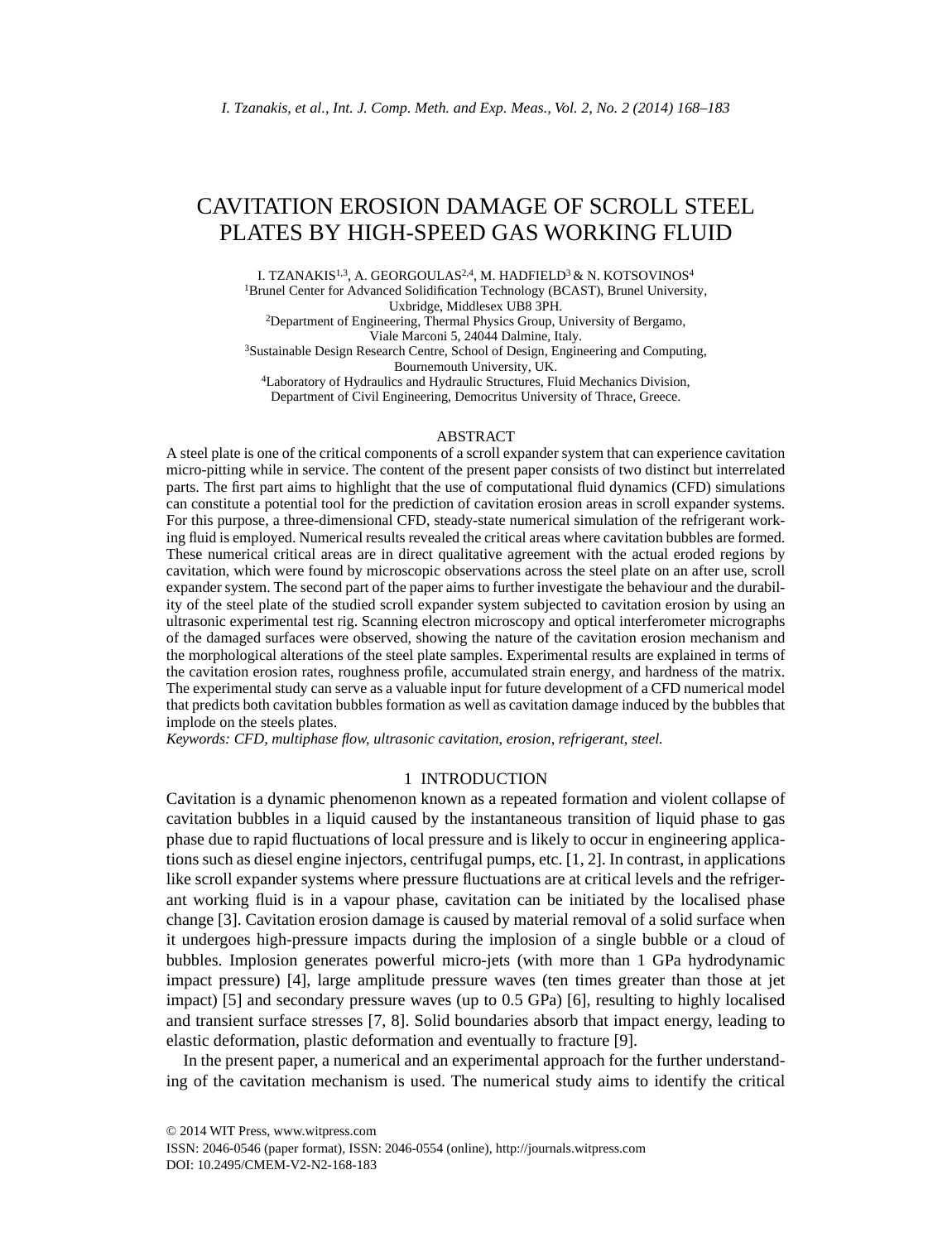# CAVITATION EROSION DAMAGE OF SCROLL STEEL PLATES BY HIGH-SPEED GAS WORKING FLUID

I. TZANAKIS<sup>1,3</sup>, A. GEORGOULAS<sup>2,4</sup>, M. HADFIELD<sup>3</sup> & N. KOTSOVINOS<sup>4</sup> <sup>1</sup>Brunel Center for Advanced Solidification Technology (BCAST), Brunel University,

Uxbridge, Middlesex UB8 3PH.

2Department of Engineering, Thermal Physics Group, University of Bergamo, Viale Marconi 5, 24044 Dalmine, Italy.

3Sustainable Design Research Centre, School of Design, Engineering and Computing, Bournemouth University, UK.

<sup>4</sup>Laboratory of Hydraulics and Hydraulic Structures, Fluid Mechanics Division, Department of Civil Engineering, Democritus University of Thrace, Greece.

# ABSTRACT

A steel plate is one of the critical components of a scroll expander system that can experience cavitation micro-pitting while in service. The content of the present paper consists of two distinct but interrelated parts. The first part aims to highlight that the use of computational fluid dynamics (CFD) simulations can constitute a potential tool for the prediction of cavitation erosion areas in scroll expander systems. For this purpose, a three-dimensional CFD, steady-state numerical simulation of the refrigerant working fluid is employed. Numerical results revealed the critical areas where cavitation bubbles are formed. These numerical critical areas are in direct qualitative agreement with the actual eroded regions by cavitation, which were found by microscopic observations across the steel plate on an after use, scroll expander system. The second part of the paper aims to further investigate the behaviour and the durability of the steel plate of the studied scroll expander system subjected to cavitation erosion by using an ultrasonic experimental test rig. Scanning electron microscopy and optical interferometer micrographs of the damaged surfaces were observed, showing the nature of the cavitation erosion mechanism and the morphological alterations of the steel plate samples. Experimental results are explained in terms of the cavitation erosion rates, roughness profile, accumulated strain energy, and hardness of the matrix. The experimental study can serve as a valuable input for future development of a CFD numerical model that predicts both cavitation bubbles formation as well as cavitation damage induced by the bubbles that implode on the steels plates.

*Keywords: CFD, multiphase flow, ultrasonic cavitation, erosion, refrigerant, steel.* 

# 1 INTRODUCTION

Cavitation is a dynamic phenomenon known as a repeated formation and violent collapse of cavitation bubbles in a liquid caused by the instantaneous transition of liquid phase to gas phase due to rapid fluctuations of local pressure and is likely to occur in engineering applications such as diesel engine injectors, centrifugal pumps, etc. [1, 2]. In contrast, in applications like scroll expander systems where pressure fluctuations are at critical levels and the refrigerant working fluid is in a vapour phase, cavitation can be initiated by the localised phase change [3]. Cavitation erosion damage is caused by material removal of a solid surface when it undergoes high-pressure impacts during the implosion of a single bubble or a cloud of bubbles. Implosion generates powerful micro-jets (with more than 1 GPa hydrodynamic impact pressure) [4], large amplitude pressure waves (ten times greater than those at jet impact) [5] and secondary pressure waves (up to 0.5 GPa) [6], resulting to highly localised and transient surface stresses [7, 8]. Solid boundaries absorb that impact energy, leading to elastic deformation, plastic deformation and eventually to fracture [9].

In the present paper, a numerical and an experimental approach for the further understanding of the cavitation mechanism is used. The numerical study aims to identify the critical

ISSN: 2046-0546 (paper format), ISSN: 2046-0554 (online), http://journals.witpress.com DOI: 10.2495/CMEM-V2-N2-168-183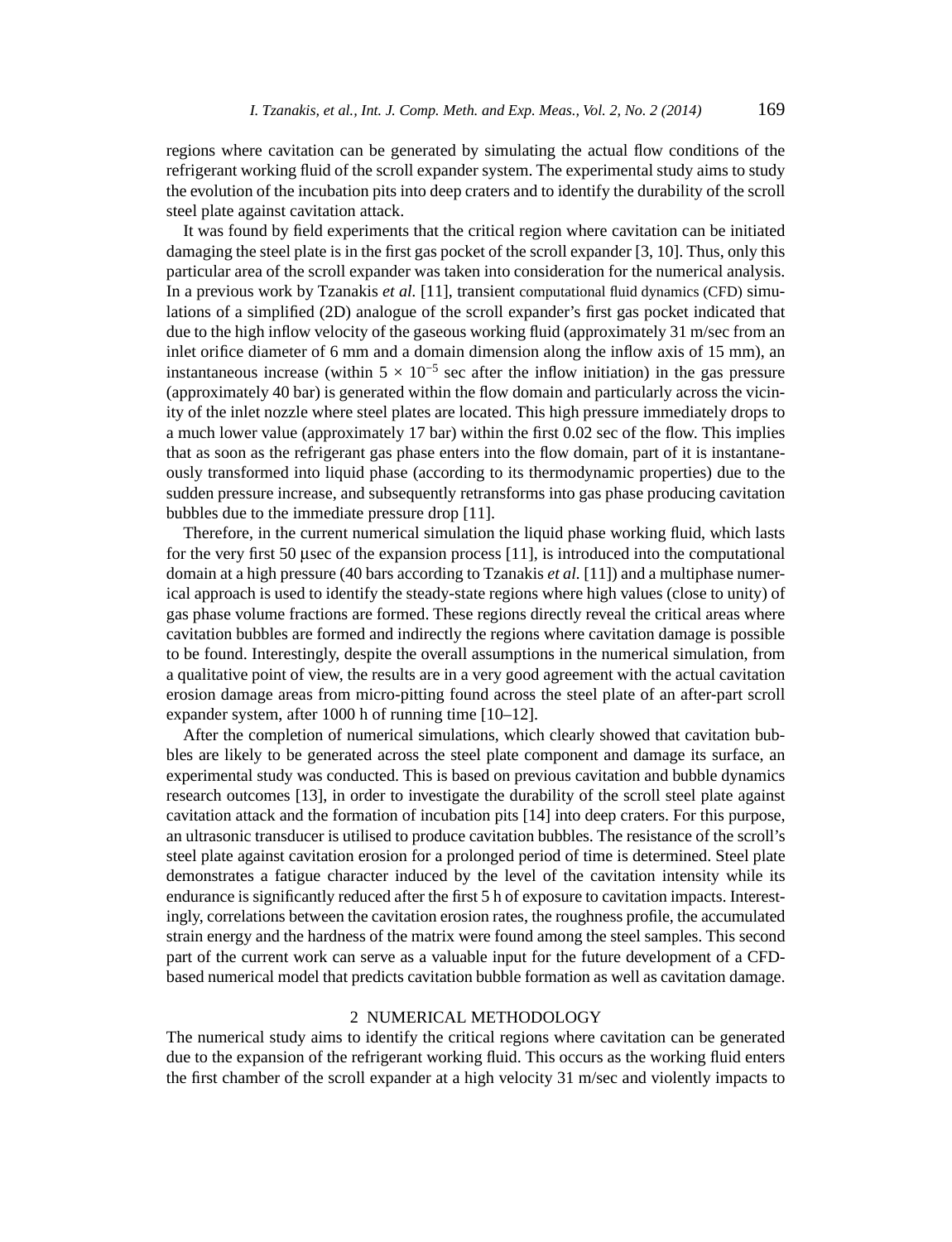regions where cavitation can be generated by simulating the actual flow conditions of the refrigerant working fluid of the scroll expander system. The experimental study aims to study the evolution of the incubation pits into deep craters and to identify the durability of the scroll steel plate against cavitation attack.

It was found by field experiments that the critical region where cavitation can be initiated damaging the steel plate is in the first gas pocket of the scroll expander  $[3, 10]$ . Thus, only this particular area of the scroll expander was taken into consideration for the numerical analysis. In a previous work by Tzanakis *et al.* [11], transient computational fluid dynamics (CFD) simulations of a simplified (2D) analogue of the scroll expander's first gas pocket indicated that due to the high inflow velocity of the gaseous working fluid (approximately 31 m/sec from an inlet orifice diameter of 6 mm and a domain dimension along the inflow axis of  $15 \text{ mm}$ ), an instantaneous increase (within  $5 \times 10^{-5}$  sec after the inflow initiation) in the gas pressure (approximately 40 bar) is generated within the flow domain and particularly across the vicinity of the inlet nozzle where steel plates are located. This high pressure immediately drops to a much lower value (approximately 17 bar) within the first 0.02 sec of the flow. This implies that as soon as the refrigerant gas phase enters into the flow domain, part of it is instantaneously transformed into liquid phase (according to its thermodynamic properties) due to the sudden pressure increase, and subsequently retransforms into gas phase producing cavitation bubbles due to the immediate pressure drop [11].

Therefore, in the current numerical simulation the liquid phase working fluid, which lasts for the very first 50 μsec of the expansion process  $[11]$ , is introduced into the computational domain at a high pressure (40 bars according to Tzanakis *et al.* [11]) and a multiphase numerical approach is used to identify the steady-state regions where high values (close to unity) of gas phase volume fractions are formed. These regions directly reveal the critical areas where cavitation bubbles are formed and indirectly the regions where cavitation damage is possible to be found. Interestingly, despite the overall assumptions in the numerical simulation, from a qualitative point of view, the results are in a very good agreement with the actual cavitation erosion damage areas from micro-pitting found across the steel plate of an after-part scroll expander system, after 1000 h of running time [10–12].

After the completion of numerical simulations, which clearly showed that cavitation bubbles are likely to be generated across the steel plate component and damage its surface, an experimental study was conducted. This is based on previous cavitation and bubble dynamics research outcomes [13], in order to investigate the durability of the scroll steel plate against cavitation attack and the formation of incubation pits [14] into deep craters. For this purpose, an ultrasonic transducer is utilised to produce cavitation bubbles. The resistance of the scroll's steel plate against cavitation erosion for a prolonged period of time is determined. Steel plate demonstrates a fatigue character induced by the level of the cavitation intensity while its endurance is significantly reduced after the first 5 h of exposure to cavitation impacts. Interestingly, correlations between the cavitation erosion rates, the roughness profile, the accumulated strain energy and the hardness of the matrix were found among the steel samples. This second part of the current work can serve as a valuable input for the future development of a CFDbased numerical model that predicts cavitation bubble formation as well as cavitation damage.

# 2 NUMERICAL METHODOLOGY

The numerical study aims to identify the critical regions where cavitation can be generated due to the expansion of the refrigerant working fluid. This occurs as the working fluid enters the first chamber of the scroll expander at a high velocity 31 m/sec and violently impacts to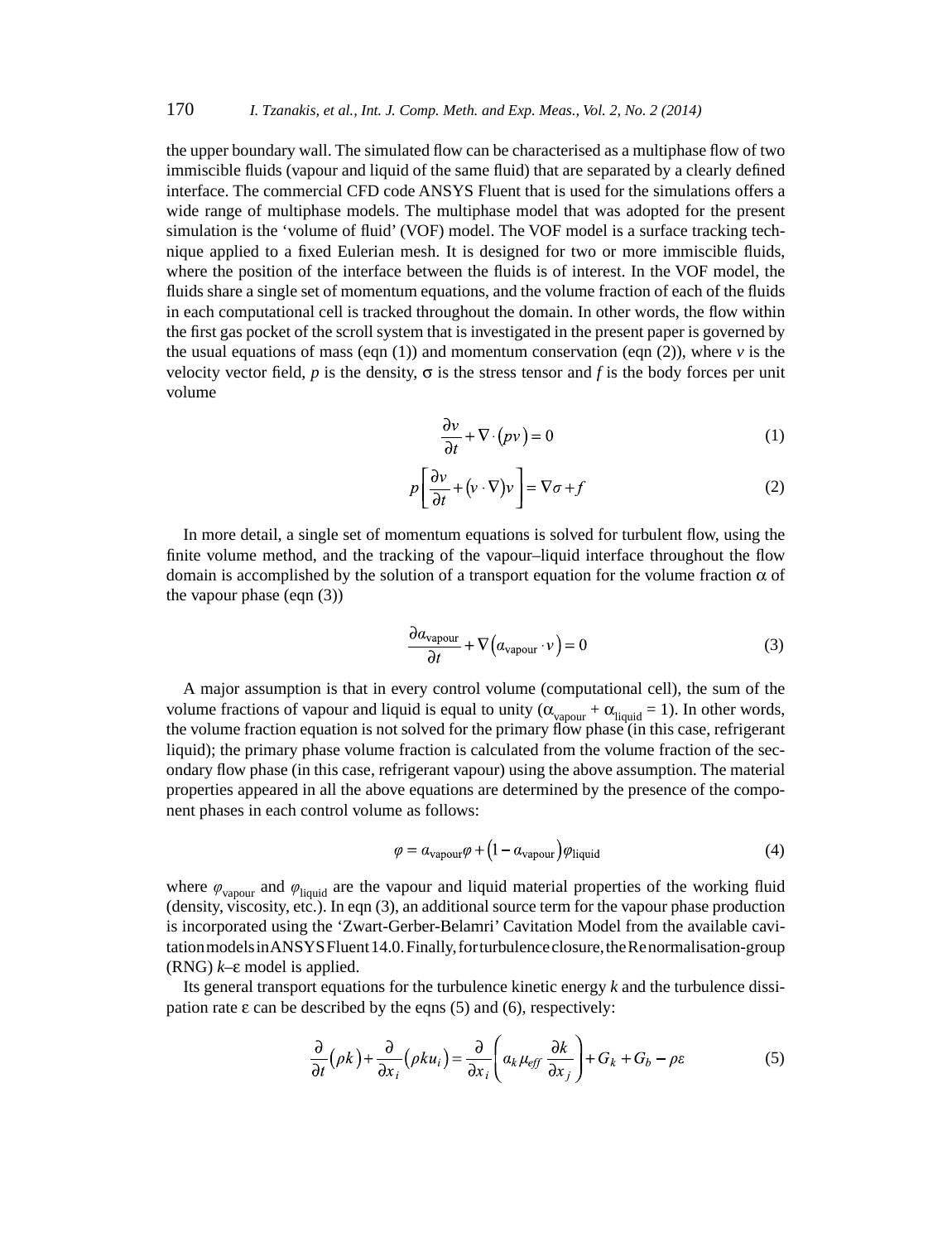the upper boundary wall. The simulated flow can be characterised as a multiphase flow of two immiscible fluids (vapour and liquid of the same fluid) that are separated by a clearly defined interface. The commercial CFD code ANSYS Fluent that is used for the simulations offers a wide range of multiphase models. The multiphase model that was adopted for the present simulation is the 'volume of fluid' (VOF) model. The VOF model is a surface tracking technique applied to a fixed Eulerian mesh. It is designed for two or more immiscible fluids, where the position of the interface between the fluids is of interest. In the VOF model, the fluids share a single set of momentum equations, and the volume fraction of each of the fluids in each computational cell is tracked throughout the domain. In other words, the flow within the first gas pocket of the scroll system that is investigated in the present paper is governed by the usual equations of mass (eqn  $(1)$ ) and momentum conservation (eqn  $(2)$ ), where  $\nu$  is the velocity vector field, *p* is the density,  $\sigma$  is the stress tensor and *f* is the body forces per unit volume

$$
\frac{\partial v}{\partial t} + \nabla \cdot (pv) = 0 \tag{1}
$$

$$
p\left[\frac{\partial v}{\partial t} + \left(v \cdot \nabla\right) v\right] = \nabla \sigma + f\tag{2}
$$

In more detail, a single set of momentum equations is solved for turbulent flow, using the finite volume method, and the tracking of the vapour–liquid interface throughout the flow domain is accomplished by the solution of a transport equation for the volume fraction  $\alpha$  of the vapour phase (eqn (3))

$$
\frac{\partial a_{\text{vapour}}}{\partial t} + \nabla \left( a_{\text{vapour}} \cdot v \right) = 0 \tag{3}
$$

A major assumption is that in every control volume (computational cell), the sum of the volume fractions of vapour and liquid is equal to unity  $(\alpha_{vapour} + \alpha_{liquid} = 1)$ . In other words, the volume fraction equation is not solved for the primary flow phase (in this case, refrigerant liquid); the primary phase volume fraction is calculated from the volume fraction of the secondary flow phase (in this case, refrigerant vapour) using the above assumption. The material properties appeared in all the above equations are determined by the presence of the component phases in each control volume as follows:

$$
\varphi = a_{\text{vapour}}\varphi + (1 - a_{\text{vapour}})\varphi_{\text{liquid}} \tag{4}
$$

where  $\varphi_{\text{vapour}}$  and  $\varphi_{\text{liquid}}$  are the vapour and liquid material properties of the working fluid (density, viscosity, etc.). In eqn (3), an additional source term for the vapour phase production is incorporated using the 'Zwart-Gerber-Belamri' Cavitation Model from the available cavitation models in ANSYS Fluent 14.0. Finally, for turbulence closure, the Re normalisation-group (RNG) *k*–ε model is applied.

Its general transport equations for the turbulence kinetic energy *k* and the turbulence dissipation rate  $\varepsilon$  can be described by the eqns (5) and (6), respectively:

$$
\frac{\partial}{\partial t}(\rho k) + \frac{\partial}{\partial x_i}(\rho k u_i) = \frac{\partial}{\partial x_i} \left( a_k \mu_{\text{eff}} \frac{\partial k}{\partial x_j} \right) + G_k + G_b - \rho \varepsilon \tag{5}
$$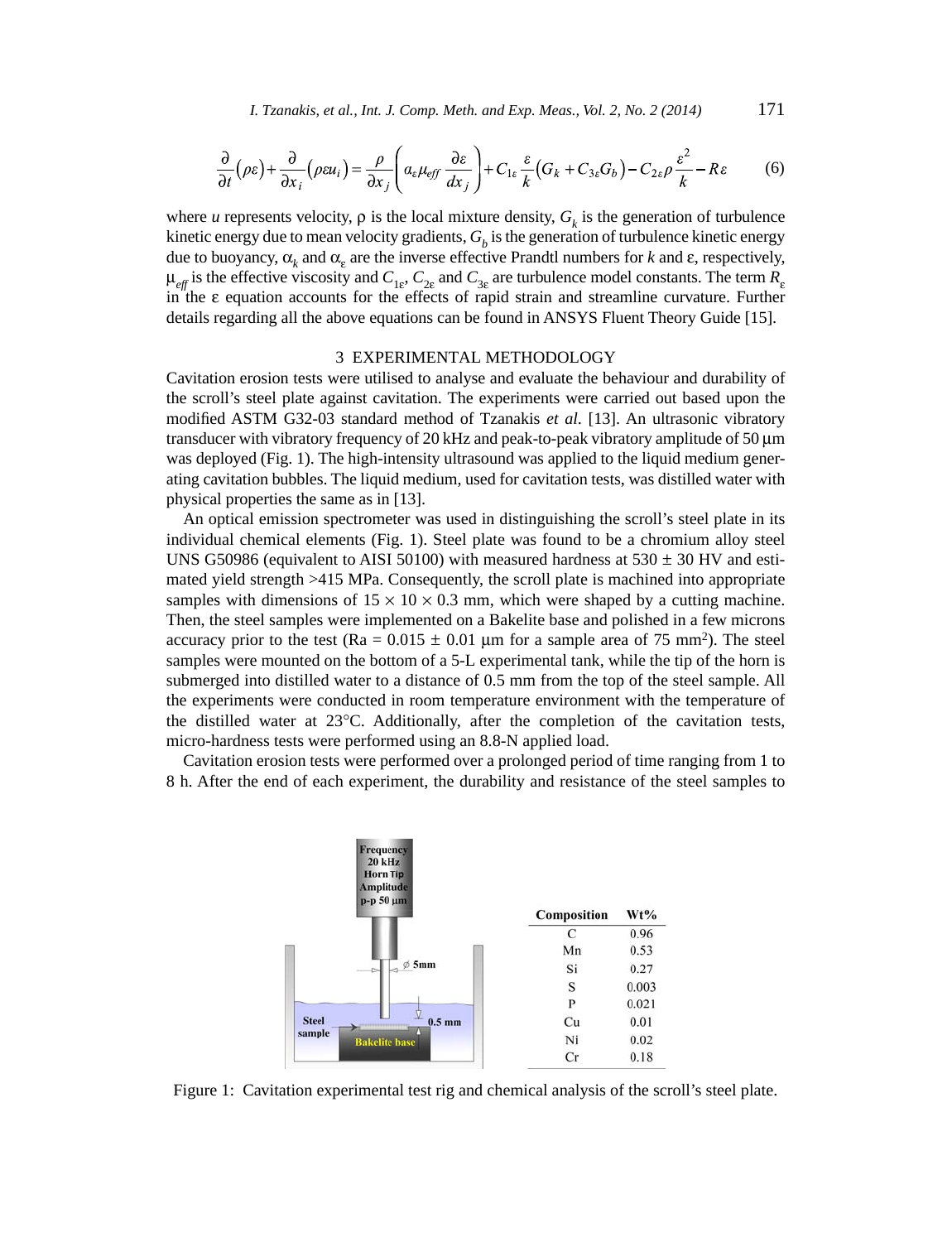*I. Tzanakis, et al., Int. J. Comp. Meth. and Exp. Meas., Vol. 2, No. 2 (2014)* 171

$$
\frac{\partial}{\partial t}(\rho \varepsilon) + \frac{\partial}{\partial x_i}(\rho \varepsilon u_i) = \frac{\rho}{\partial x_j} \left( a_\varepsilon \mu_{\text{eff}} \frac{\partial \varepsilon}{\partial x_j} \right) + C_{1\varepsilon} \frac{\varepsilon}{k} \left( G_k + C_{3\varepsilon} G_b \right) - C_{2\varepsilon} \rho \frac{\varepsilon^2}{k} - R\varepsilon \tag{6}
$$

where *u* represents velocity,  $\rho$  is the local mixture density,  $G_k$  is the generation of turbulence kinetic energy due to mean velocity gradients,  $G<sub>b</sub>$  is the generation of turbulence kinetic energy due to buoyancy,  $\alpha_k$  and  $\alpha_{\varepsilon}$  are the inverse effective Prandtl numbers for *k* and  $\varepsilon$ , respectively,  $\mu_{eff}$  is the effective viscosity and  $C_{1g}$ ,  $C_{2g}$  and  $C_{3g}$  are turbulence model constants. The term  $R_g$ in the ε equation accounts for the effects of rapid strain and streamline curvature. Further details regarding all the above equations can be found in ANSYS Fluent Theory Guide [15].

#### 3 EXPERIMENTAL METHODOLOGY

Cavitation erosion tests were utilised to analyse and evaluate the behaviour and durability of the scroll's steel plate against cavitation. The experiments were carried out based upon the modified ASTM G32-03 standard method of Tzanakis et al. [13]. An ultrasonic vibratory transducer with vibratory frequency of 20 kHz and peak-to-peak vibratory amplitude of 50 μm was deployed (Fig. 1). The high-intensity ultrasound was applied to the liquid medium generating cavitation bubbles. The liquid medium, used for cavitation tests, was distilled water with physical properties the same as in [13].

An optical emission spectrometer was used in distinguishing the scroll's steel plate in its individual chemical elements (Fig. 1). Steel plate was found to be a chromium alloy steel UNS G50986 (equivalent to AISI 50100) with measured hardness at  $530 \pm 30$  HV and estimated yield strength >415 MPa. Consequently, the scroll plate is machined into appropriate samples with dimensions of  $15 \times 10 \times 0.3$  mm, which were shaped by a cutting machine. Then, the steel samples were implemented on a Bakelite base and polished in a few microns accuracy prior to the test (Ra =  $0.015 \pm 0.01$  µm for a sample area of 75 mm<sup>2</sup>). The steel samples were mounted on the bottom of a 5-L experimental tank, while the tip of the horn is submerged into distilled water to a distance of 0.5 mm from the top of the steel sample. All the experiments were conducted in room temperature environment with the temperature of the distilled water at 23°C. Additionally, after the completion of the cavitation tests, micro-hardness tests were performed using an 8.8-N applied load.

Cavitation erosion tests were performed over a prolonged period of time ranging from 1 to 8 h. After the end of each experiment, the durability and resistance of the steel samples to



Figure 1: Cavitation experimental test rig and chemical analysis of the scroll's steel plate.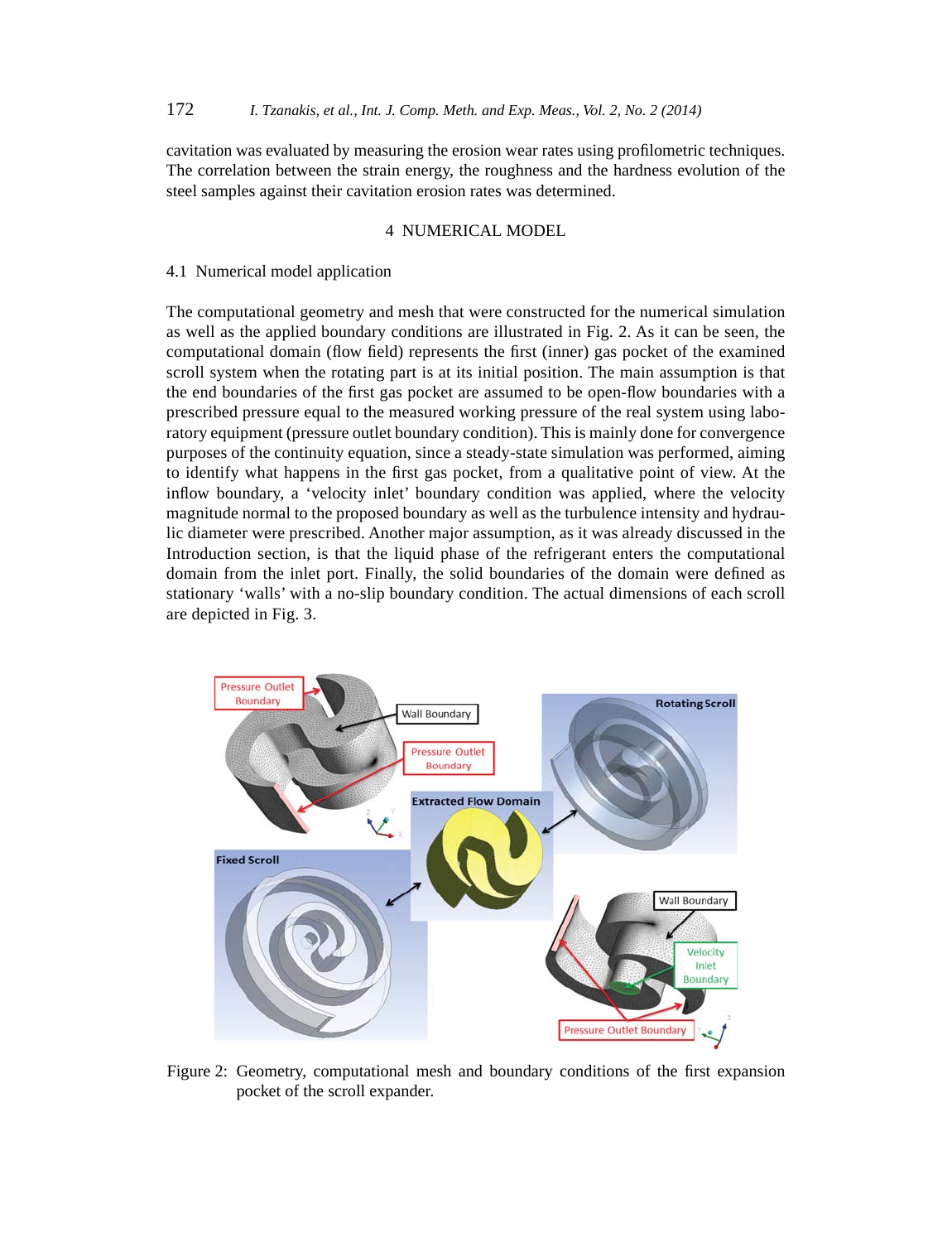cavitation was evaluated by measuring the erosion wear rates using profilometric techniques. The correlation between the strain energy, the roughness and the hardness evolution of the steel samples against their cavitation erosion rates was determined.

# 4 NUMERICAL MODEL

#### 4.1 Numerical model application

The computational geometry and mesh that were constructed for the numerical simulation as well as the applied boundary conditions are illustrated in Fig. 2. As it can be seen, the computational domain (flow field) represents the first (inner) gas pocket of the examined scroll system when the rotating part is at its initial position. The main assumption is that the end boundaries of the first gas pocket are assumed to be open-flow boundaries with a prescribed pressure equal to the measured working pressure of the real system using laboratory equipment (pressure outlet boundary condition). This is mainly done for convergence purposes of the continuity equation, since a steady-state simulation was performed, aiming to identify what happens in the first gas pocket, from a qualitative point of view. At the inflow boundary, a 'velocity inlet' boundary condition was applied, where the velocity magnitude normal to the proposed boundary as well as the turbulence intensity and hydraulic diameter were prescribed. Another major assumption, as it was already discussed in the Introduction section, is that the liquid phase of the refrigerant enters the computational domain from the inlet port. Finally, the solid boundaries of the domain were defined as stationary 'walls' with a no-slip boundary condition. The actual dimensions of each scroll are depicted in Fig. 3.



Figure 2: Geometry, computational mesh and boundary conditions of the first expansion pocket of the scroll expander.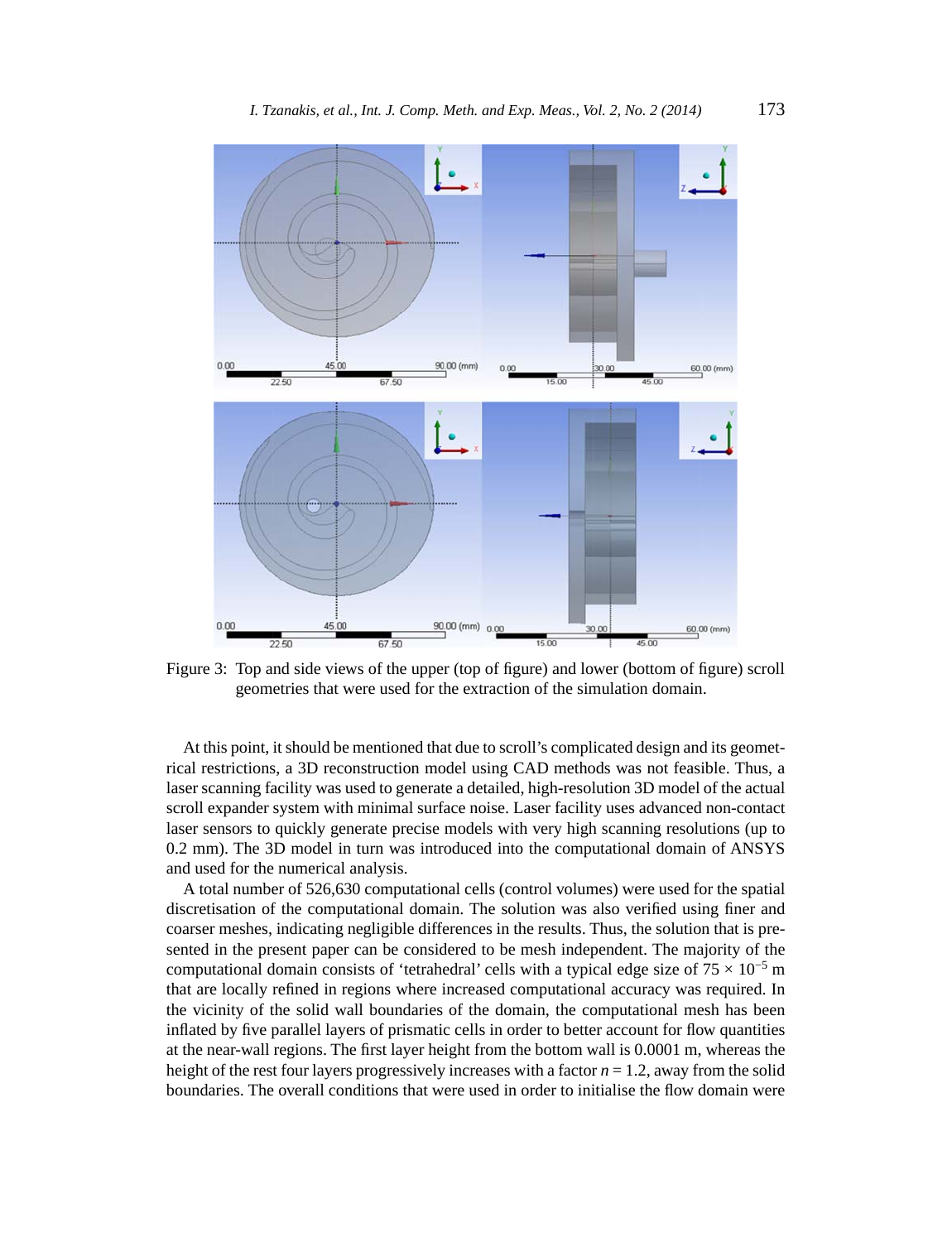

Figure 3: Top and side views of the upper (top of figure) and lower (bottom of figure) scroll geometries that were used for the extraction of the simulation domain.

At this point, it should be mentioned that due to scroll's complicated design and its geometrical restrictions, a 3D reconstruction model using CAD methods was not feasible. Thus, a laser scanning facility was used to generate a detailed, high-resolution 3D model of the actual scroll expander system with minimal surface noise. Laser facility uses advanced non-contact laser sensors to quickly generate precise models with very high scanning resolutions (up to 0.2 mm). The 3D model in turn was introduced into the computational domain of ANSYS and used for the numerical analysis.

A total number of 526,630 computational cells (control volumes) were used for the spatial discretisation of the computational domain. The solution was also verified using finer and coarser meshes, indicating negligible differences in the results. Thus, the solution that is presented in the present paper can be considered to be mesh independent. The majority of the computational domain consists of 'tetrahedral' cells with a typical edge size of  $75 \times 10^{-5}$  m that are locally refined in regions where increased computational accuracy was required. In the vicinity of the solid wall boundaries of the domain, the computational mesh has been inflated by five parallel layers of prismatic cells in order to better account for flow quantities at the near-wall regions. The first layer height from the bottom wall is 0.0001 m, whereas the height of the rest four layers progressively increases with a factor *n* = 1.2, away from the solid boundaries. The overall conditions that were used in order to initialise the flow domain were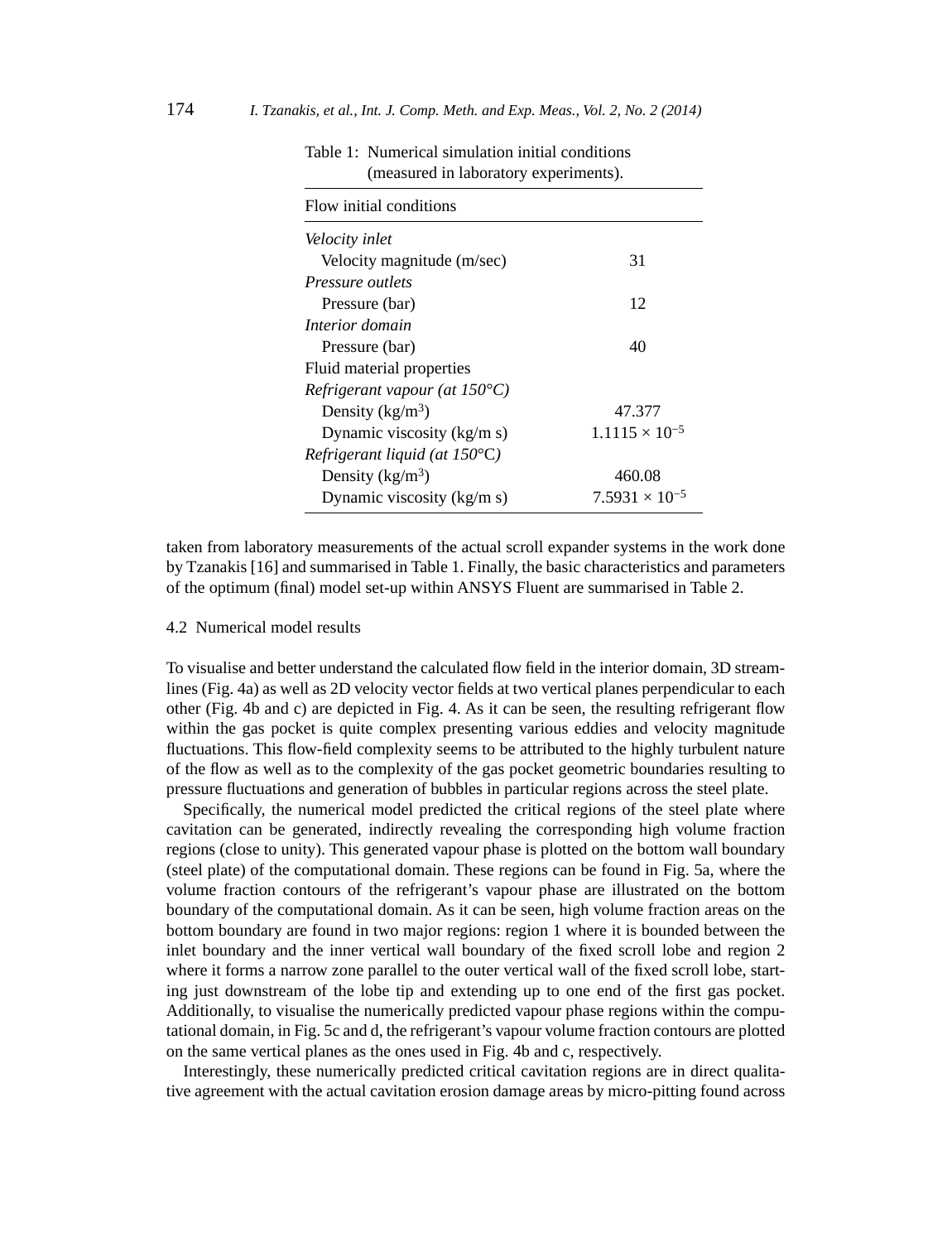| 31                      |
|-------------------------|
|                         |
| 12                      |
|                         |
| 40                      |
|                         |
|                         |
| 47.377                  |
| $1.1115 \times 10^{-5}$ |
|                         |
| 460.08                  |
| $7.5931 \times 10^{-5}$ |
|                         |

| Table 1: Numerical simulation initial conditions |
|--------------------------------------------------|
| (measured in laboratory experiments).            |

taken from laboratory measurements of the actual scroll expander systems in the work done by Tzanakis [16] and summarised in Table 1. Finally, the basic characteristics and parameters of the optimum (final) model set-up within ANSYS Fluent are summarised in Table 2.

### 4.2 Numerical model results

To visualise and better understand the calculated flow field in the interior domain, 3D streamlines (Fig. 4a) as well as 2D velocity vector fields at two vertical planes perpendicular to each other (Fig. 4b and c) are depicted in Fig. 4. As it can be seen, the resulting refrigerant flow within the gas pocket is quite complex presenting various eddies and velocity magnitude fluctuations. This flow-field complexity seems to be attributed to the highly turbulent nature of the flow as well as to the complexity of the gas pocket geometric boundaries resulting to pressure fl uctuations and generation of bubbles in particular regions across the steel plate.

Specifically, the numerical model predicted the critical regions of the steel plate where cavitation can be generated, indirectly revealing the corresponding high volume fraction regions (close to unity). This generated vapour phase is plotted on the bottom wall boundary (steel plate) of the computational domain. These regions can be found in Fig. 5a, where the volume fraction contours of the refrigerant's vapour phase are illustrated on the bottom boundary of the computational domain. As it can be seen, high volume fraction areas on the bottom boundary are found in two major regions: region 1 where it is bounded between the inlet boundary and the inner vertical wall boundary of the fixed scroll lobe and region 2 where it forms a narrow zone parallel to the outer vertical wall of the fixed scroll lobe, starting just downstream of the lobe tip and extending up to one end of the first gas pocket. Additionally, to visualise the numerically predicted vapour phase regions within the computational domain, in Fig. 5c and d, the refrigerant's vapour volume fraction contours are plotted on the same vertical planes as the ones used in Fig. 4b and c, respectively.

Interestingly, these numerically predicted critical cavitation regions are in direct qualitative agreement with the actual cavitation erosion damage areas by micro-pitting found across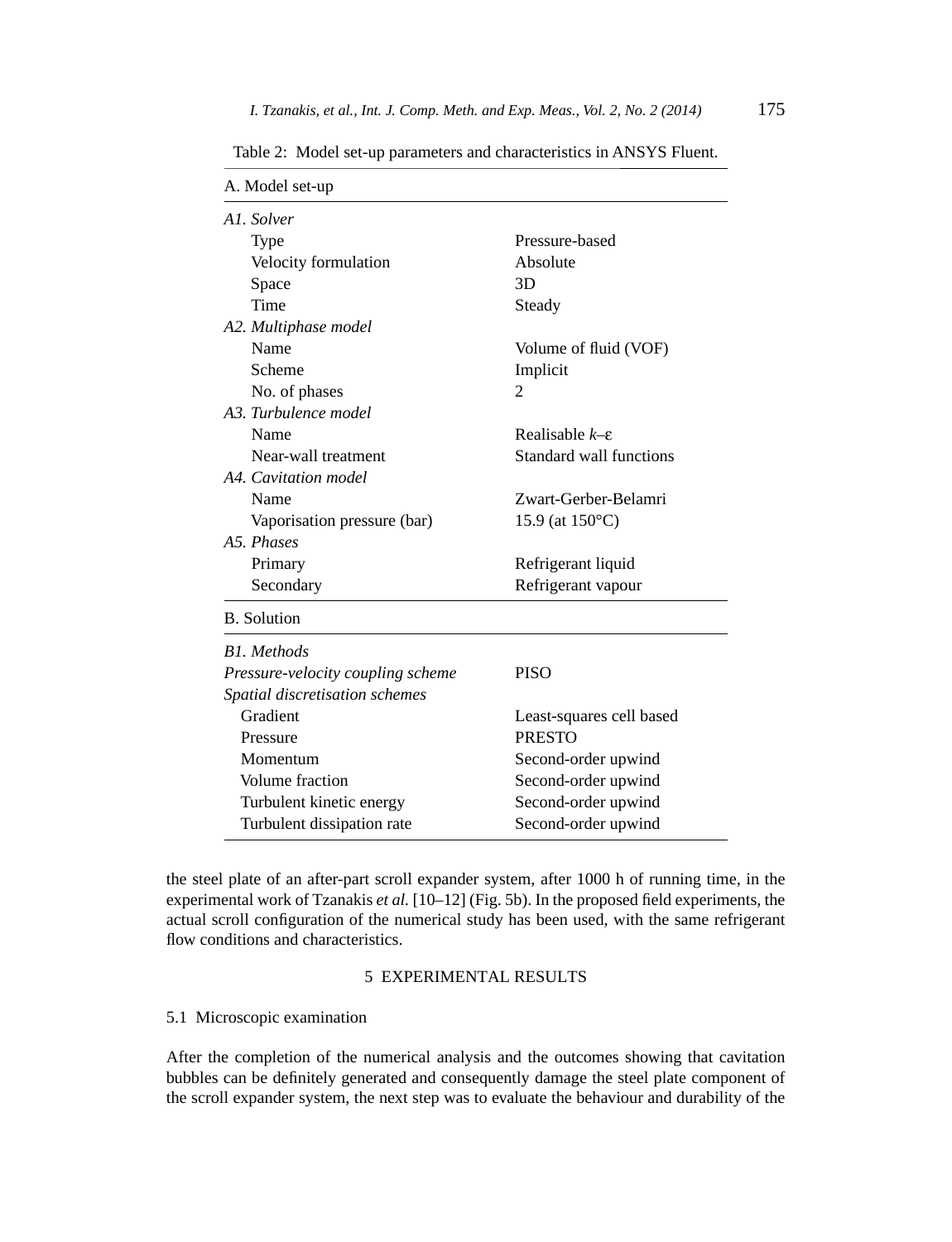| A. Model set-up                   |                                |
|-----------------------------------|--------------------------------|
| A1. Solver                        |                                |
| Type                              | Pressure-based                 |
| Velocity formulation              | Absolute                       |
| Space                             | 3D                             |
| Time                              | Steady                         |
| A2. Multiphase model              |                                |
| Name                              | Volume of fluid (VOF)          |
| Scheme                            | Implicit                       |
| No. of phases                     | 2                              |
| A3. Turbulence model              |                                |
| Name                              | Realisable $k$ – $\varepsilon$ |
| Near-wall treatment               | Standard wall functions        |
| A4. Cavitation model              |                                |
| Name                              | Zwart-Gerber-Belamri           |
| Vaporisation pressure (bar)       | 15.9 (at $150^{\circ}$ C)      |
| A.5. Phases                       |                                |
| Primary                           | Refrigerant liquid             |
| Secondary                         | Refrigerant vapour             |
| <b>B.</b> Solution                |                                |
| <b>B1.</b> Methods                |                                |
| Pressure-velocity coupling scheme | <b>PISO</b>                    |
| Spatial discretisation schemes    |                                |
| Gradient                          | Least-squares cell based       |
| Pressure                          | <b>PRESTO</b>                  |
| Momentum                          | Second-order upwind            |
| Volume fraction                   | Second-order upwind            |
| Turbulent kinetic energy          | Second-order upwind            |
| Turbulent dissipation rate        | Second-order upwind            |

Table 2: Model set-up parameters and characteristics in ANSYS Fluent.

the steel plate of an after-part scroll expander system, after 1000 h of running time, in the experimental work of Tzanakis et al. [10-12] (Fig. 5b). In the proposed field experiments, the actual scroll configuration of the numerical study has been used, with the same refrigerant flow conditions and characteristics.

# 5 EXPERIMENTAL RESULTS

# 5.1 Microscopic examination

After the completion of the numerical analysis and the outcomes showing that cavitation bubbles can be definitely generated and consequently damage the steel plate component of the scroll expander system, the next step was to evaluate the behaviour and durability of the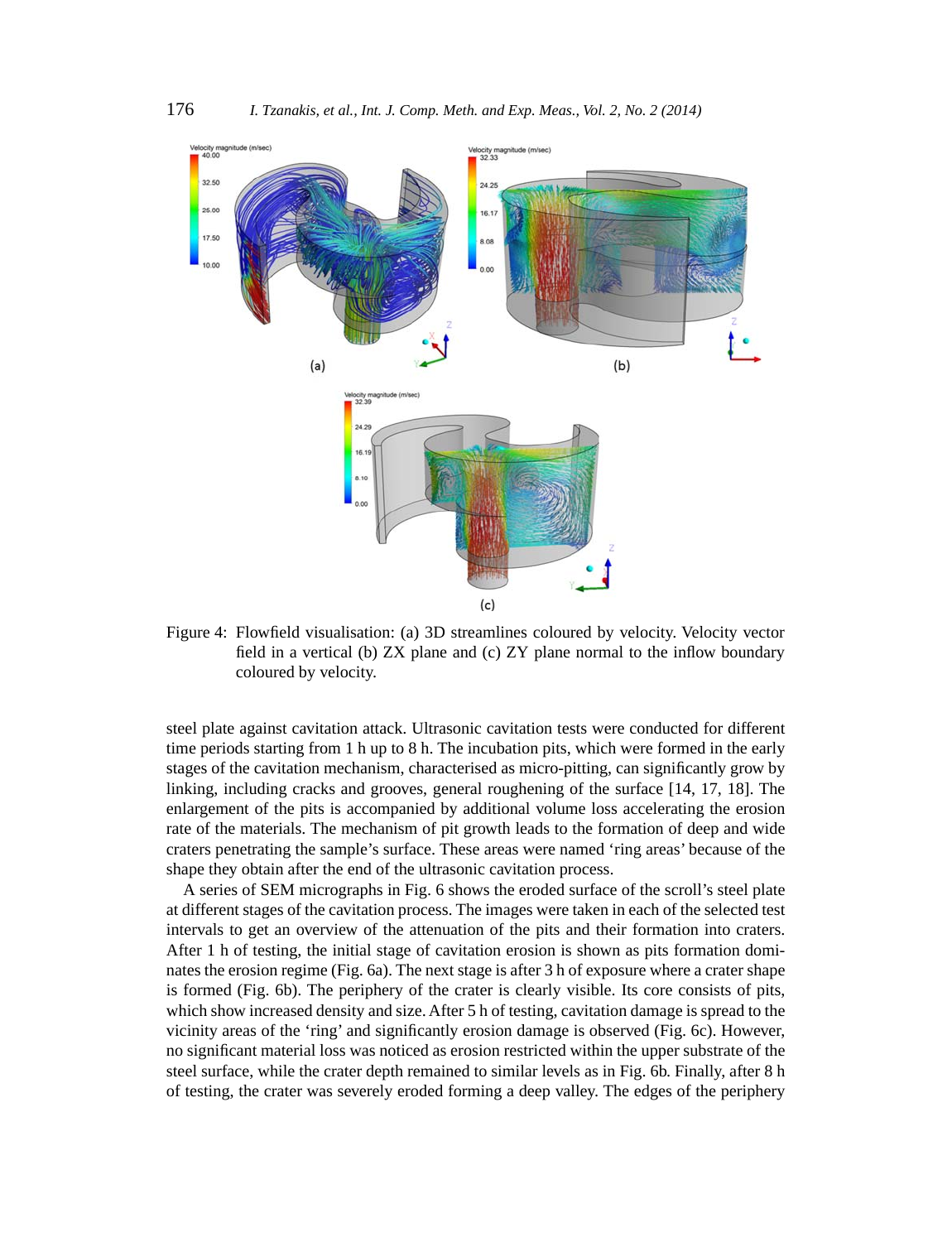

Figure 4: Flowfield visualisation: (a) 3D streamlines coloured by velocity. Velocity vector field in a vertical (b)  $ZX$  plane and (c)  $ZY$  plane normal to the inflow boundary coloured by velocity.

steel plate against cavitation attack. Ultrasonic cavitation tests were conducted for different time periods starting from 1 h up to 8 h. The incubation pits, which were formed in the early stages of the cavitation mechanism, characterised as micro-pitting, can significantly grow by linking, including cracks and grooves, general roughening of the surface [14, 17, 18]. The enlargement of the pits is accompanied by additional volume loss accelerating the erosion rate of the materials. The mechanism of pit growth leads to the formation of deep and wide craters penetrating the sample's surface. These areas were named 'ring areas' because of the shape they obtain after the end of the ultrasonic cavitation process.

A series of SEM micrographs in Fig. 6 shows the eroded surface of the scroll's steel plate at different stages of the cavitation process. The images were taken in each of the selected test intervals to get an overview of the attenuation of the pits and their formation into craters. After 1 h of testing, the initial stage of cavitation erosion is shown as pits formation dominates the erosion regime (Fig. 6a). The next stage is after 3 h of exposure where a crater shape is formed (Fig. 6b). The periphery of the crater is clearly visible. Its core consists of pits, which show increased density and size. After 5 h of testing, cavitation damage is spread to the vicinity areas of the 'ring' and significantly erosion damage is observed (Fig. 6c). However, no significant material loss was noticed as erosion restricted within the upper substrate of the steel surface, while the crater depth remained to similar levels as in Fig. 6b. Finally, after 8 h of testing, the crater was severely eroded forming a deep valley. The edges of the periphery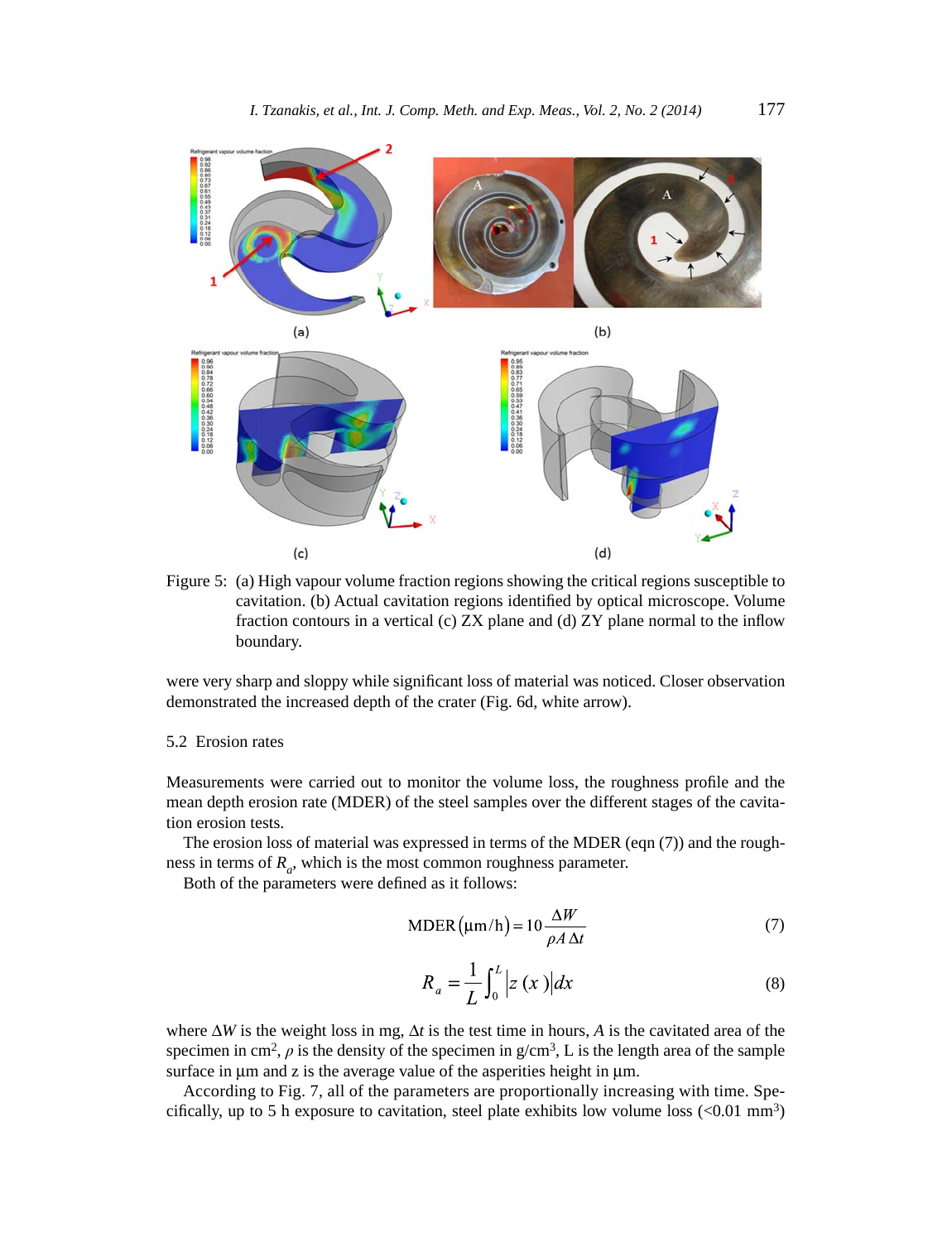

Figure 5: (a) High vapour volume fraction regions showing the critical regions susceptible to cavitation. (b) Actual cavitation regions identified by optical microscope. Volume fraction contours in a vertical (c)  $ZX$  plane and (d)  $ZY$  plane normal to the inflow boundary.

were very sharp and sloppy while significant loss of material was noticed. Closer observation demonstrated the increased depth of the crater (Fig. 6d, white arrow).

### 5.2 Erosion rates

Measurements were carried out to monitor the volume loss, the roughness profile and the mean depth erosion rate (MDER) of the steel samples over the different stages of the cavitation erosion tests.

The erosion loss of material was expressed in terms of the MDER (eqn (7)) and the roughness in terms of  $R_a$ , which is the most common roughness parameter.

Both of the parameters were defined as it follows:

$$
MDER(\mu m/h) = 10 \frac{\Delta W}{\rho A \Delta t}
$$
 (7)

$$
R_a = \frac{1}{L} \int_0^L \left| z(x) \right| dx \tag{8}
$$

where  $\Delta W$  is the weight loss in mg,  $\Delta t$  is the test time in hours, A is the cavitated area of the specimen in cm<sup>2</sup>,  $\rho$  is the density of the specimen in  $g/cm^3$ , L is the length area of the sample surface in μm and z is the average value of the asperities height in μm.

According to Fig. 7, all of the parameters are proportionally increasing with time. Specifically, up to 5 h exposure to cavitation, steel plate exhibits low volume loss  $(<0.01$  mm<sup>3</sup>)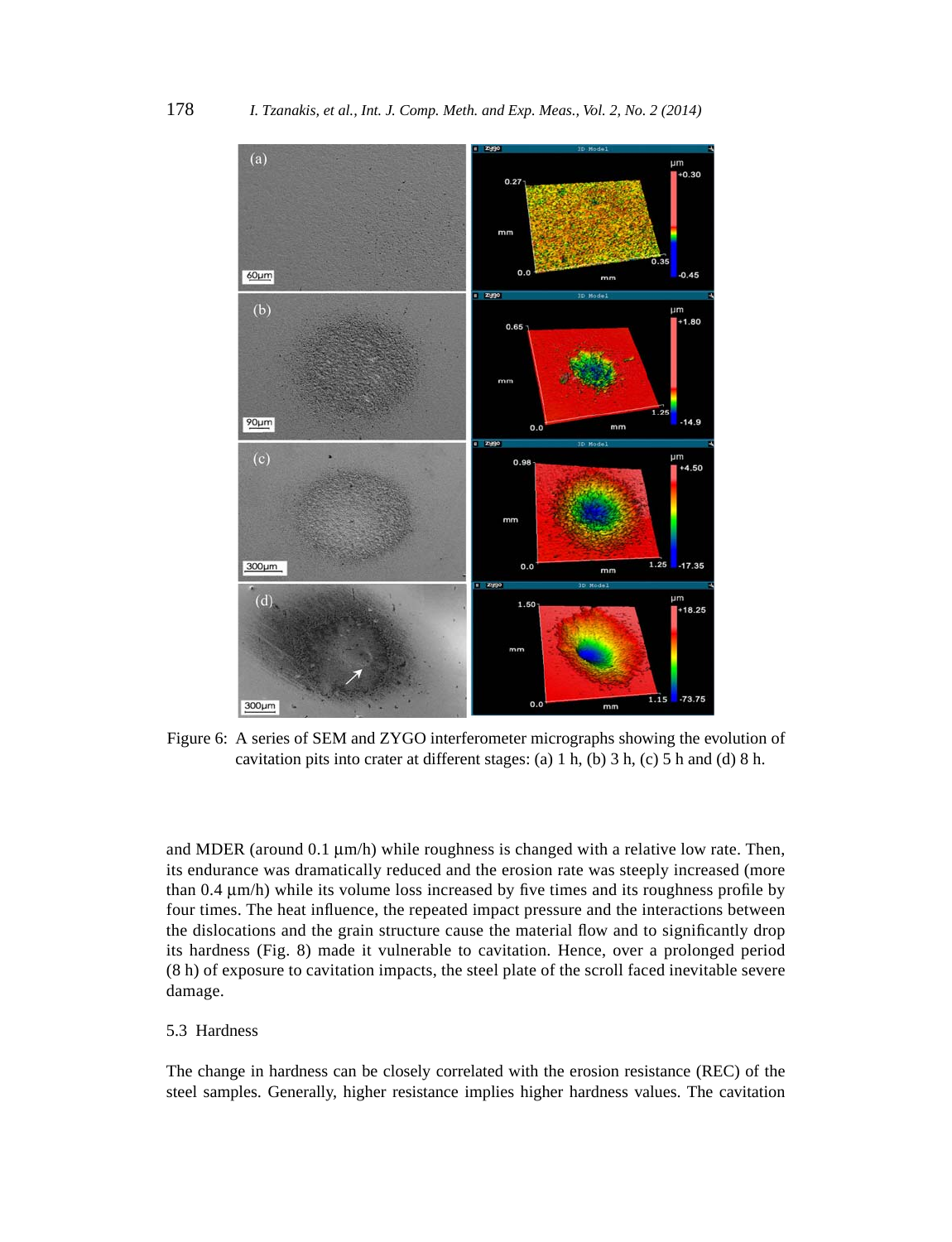

Figure 6: A series of SEM and ZYGO interferometer micrographs showing the evolution of cavitation pits into crater at different stages: (a) 1 h, (b) 3 h, (c) 5 h and (d) 8 h.

and MDER (around 0.1 μm/h) while roughness is changed with a relative low rate. Then, its endurance was dramatically reduced and the erosion rate was steeply increased (more than  $0.4 \mu m/h$ ) while its volume loss increased by five times and its roughness profile by four times. The heat influence, the repeated impact pressure and the interactions between the dislocations and the grain structure cause the material flow and to significantly drop its hardness (Fig. 8) made it vulnerable to cavitation. Hence, over a prolonged period (8 h) of exposure to cavitation impacts, the steel plate of the scroll faced inevitable severe damage.

### 5.3 Hardness

The change in hardness can be closely correlated with the erosion resistance (REC) of the steel samples. Generally, higher resistance implies higher hardness values. The cavitation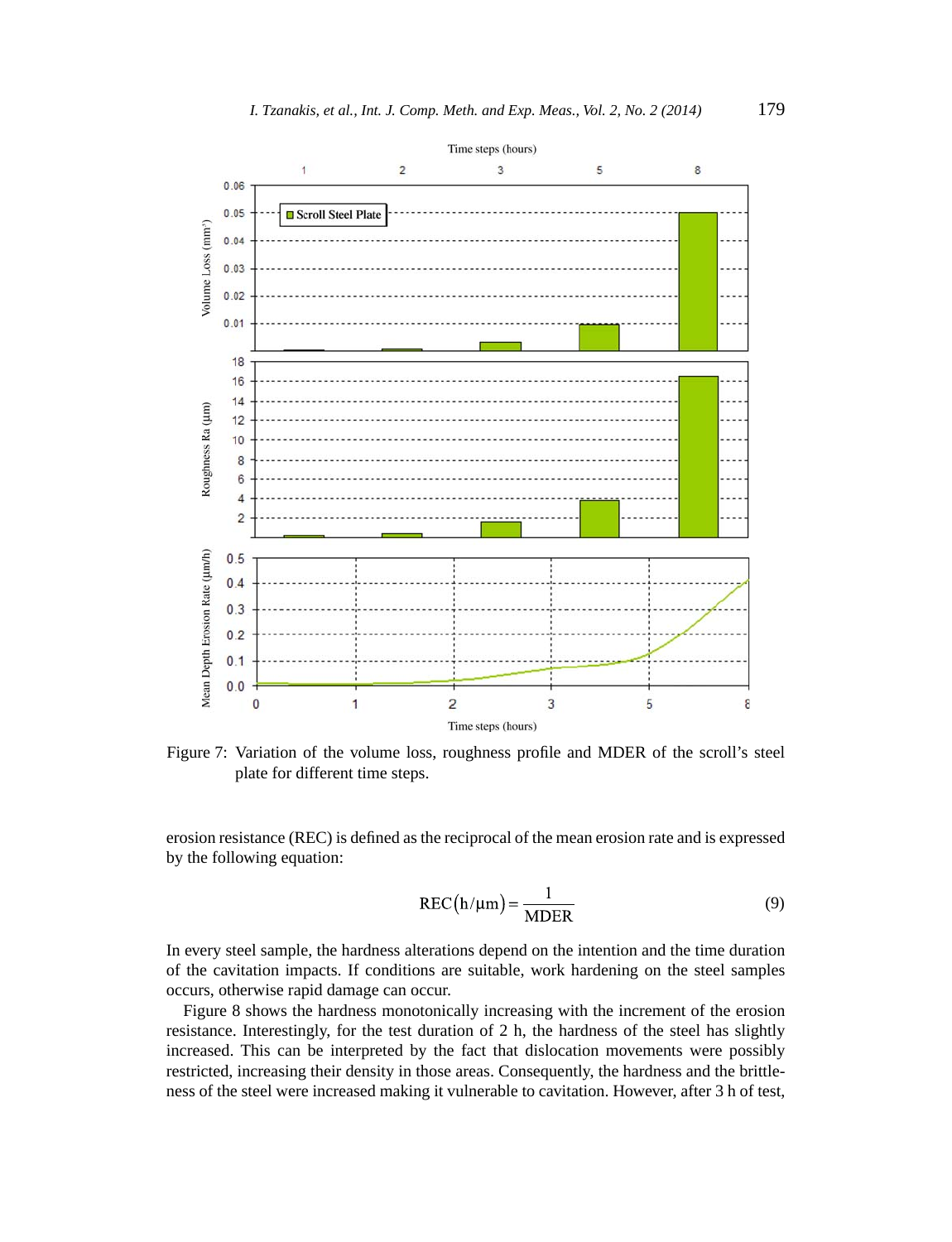

Figure 7: Variation of the volume loss, roughness profile and MDER of the scroll's steel plate for different time steps.

erosion resistance (REC) is defined as the reciprocal of the mean erosion rate and is expressed by the following equation:

$$
REC(h/\mu m) = \frac{1}{MDER}
$$
 (9)

In every steel sample, the hardness alterations depend on the intention and the time duration of the cavitation impacts. If conditions are suitable, work hardening on the steel samples occurs, otherwise rapid damage can occur.

Figure 8 shows the hardness monotonically increasing with the increment of the erosion resistance. Interestingly, for the test duration of 2 h, the hardness of the steel has slightly increased. This can be interpreted by the fact that dislocation movements were possibly restricted, increasing their density in those areas. Consequently, the hardness and the brittleness of the steel were increased making it vulnerable to cavitation. However, after 3 h of test,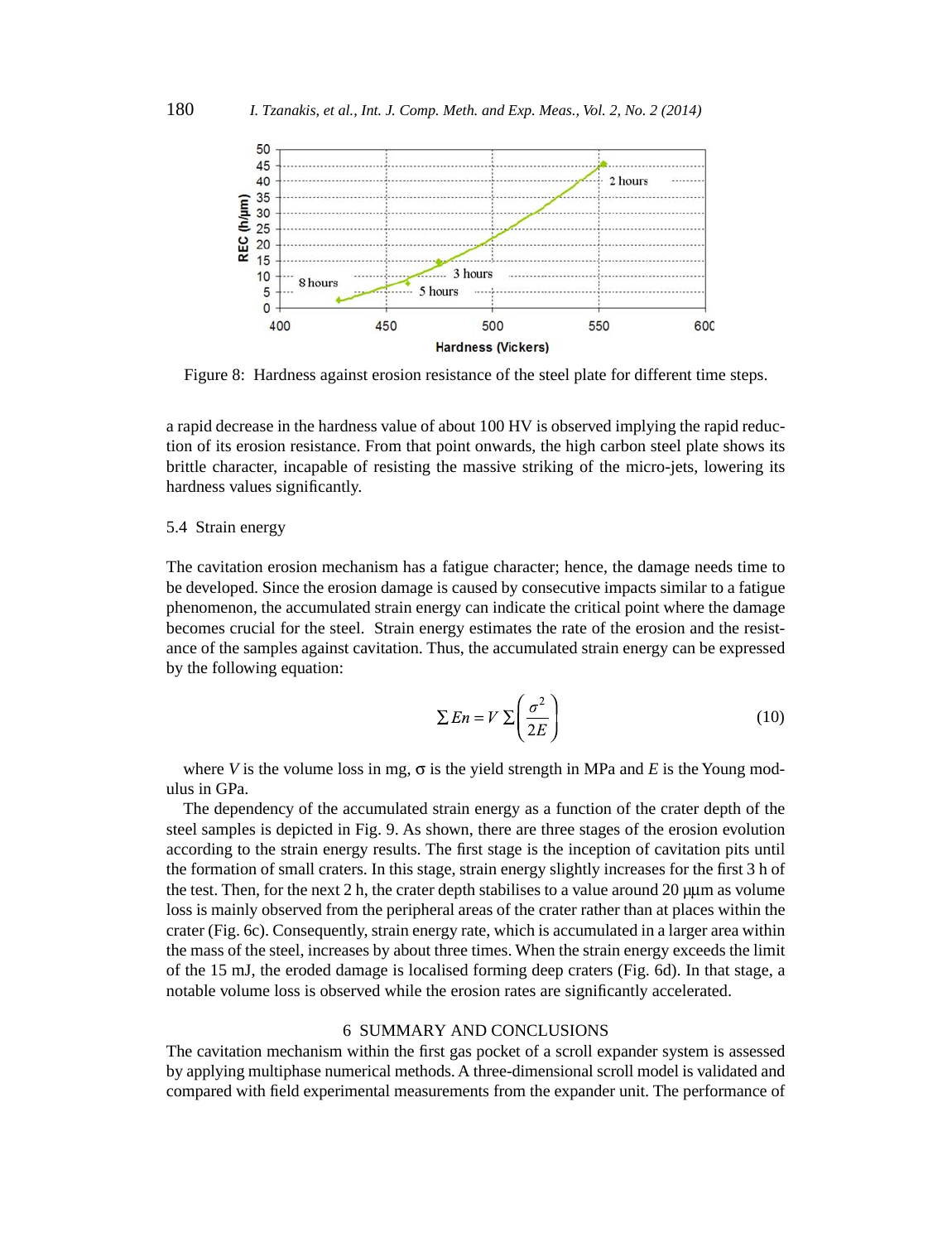

Figure 8: Hardness against erosion resistance of the steel plate for different time steps.

a rapid decrease in the hardness value of about 100 HV is observed implying the rapid reduction of its erosion resistance. From that point onwards, the high carbon steel plate shows its brittle character, incapable of resisting the massive striking of the micro-jets, lowering its hardness values significantly.

# 5.4 Strain energy

The cavitation erosion mechanism has a fatigue character; hence, the damage needs time to be developed. Since the erosion damage is caused by consecutive impacts similar to a fatigue phenomenon, the accumulated strain energy can indicate the critical point where the damage becomes crucial for the steel. Strain energy estimates the rate of the erosion and the resistance of the samples against cavitation. Thus, the accumulated strain energy can be expressed by the following equation:

$$
\sum En = V \sum \left(\frac{\sigma^2}{2E}\right) \tag{10}
$$

where *V* is the volume loss in mg,  $\sigma$  is the yield strength in MPa and *E* is the Young modulus in GPa.

The dependency of the accumulated strain energy as a function of the crater depth of the steel samples is depicted in Fig. 9. As shown, there are three stages of the erosion evolution according to the strain energy results. The first stage is the inception of cavitation pits until the formation of small craters. In this stage, strain energy slightly increases for the first 3 h of the test. Then, for the next  $2 h$ , the crater depth stabilises to a value around  $20 \mu \mu m$  as volume loss is mainly observed from the peripheral areas of the crater rather than at places within the crater (Fig. 6c). Consequently, strain energy rate, which is accumulated in a larger area within the mass of the steel, increases by about three times. When the strain energy exceeds the limit of the 15 mJ, the eroded damage is localised forming deep craters (Fig. 6d). In that stage, a notable volume loss is observed while the erosion rates are significantly accelerated.

#### 6 SUMMARY AND CONCLUSIONS

The cavitation mechanism within the first gas pocket of a scroll expander system is assessed by applying multiphase numerical methods. A three-dimensional scroll model is validated and compared with field experimental measurements from the expander unit. The performance of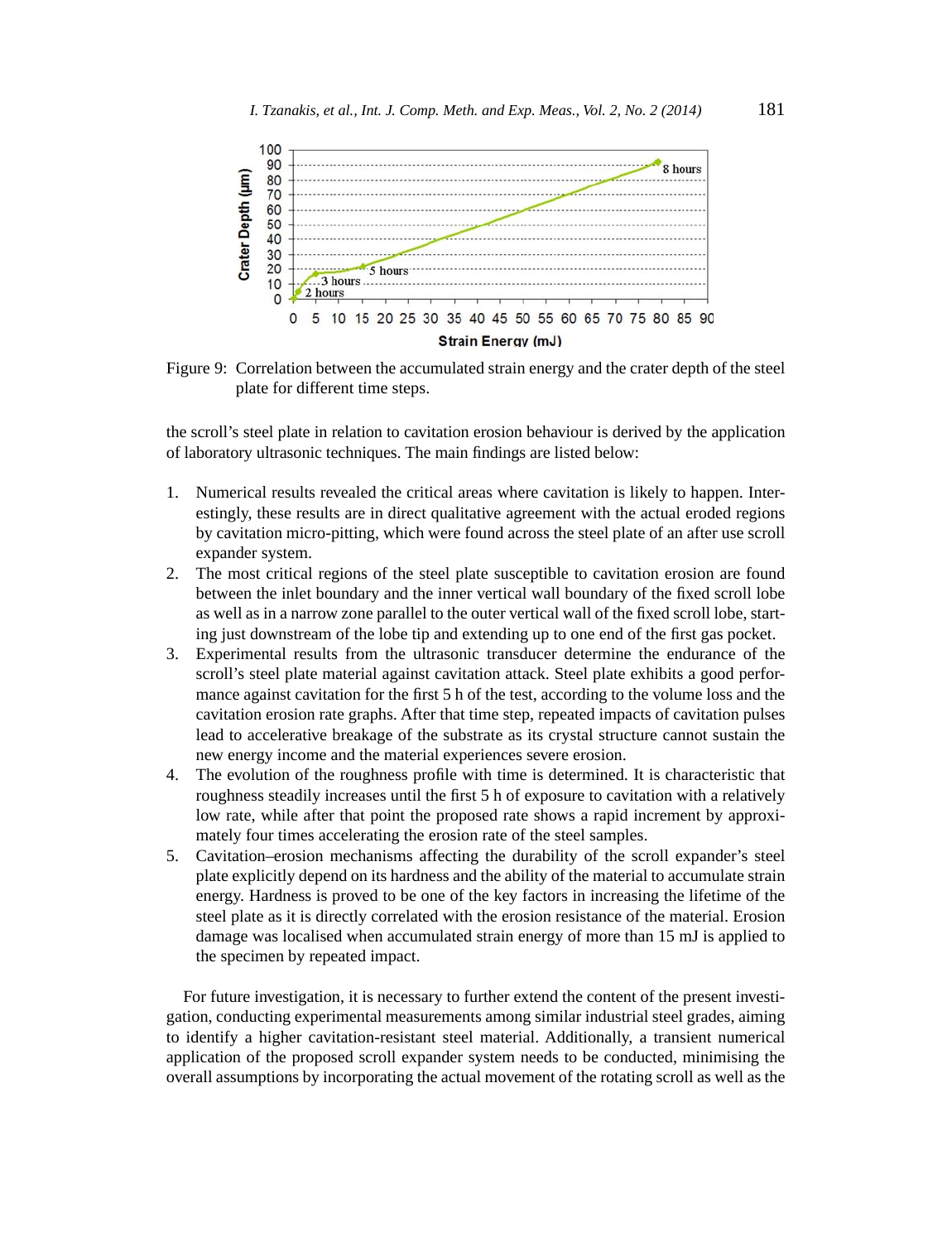

Figure 9: Correlation between the accumulated strain energy and the crater depth of the steel plate for different time steps.

the scroll's steel plate in relation to cavitation erosion behaviour is derived by the application of laboratory ultrasonic techniques. The main findings are listed below:

- 1. Numerical results revealed the critical areas where cavitation is likely to happen. Interestingly, these results are in direct qualitative agreement with the actual eroded regions by cavitation micro-pitting, which were found across the steel plate of an after use scroll expander system.
- 2. The most critical regions of the steel plate susceptible to cavitation erosion are found between the inlet boundary and the inner vertical wall boundary of the fixed scroll lobe as well as in a narrow zone parallel to the outer vertical wall of the fixed scroll lobe, starting just downstream of the lobe tip and extending up to one end of the first gas pocket.
- 3. Experimental results from the ultrasonic transducer determine the endurance of the scroll's steel plate material against cavitation attack. Steel plate exhibits a good performance against cavitation for the first 5 h of the test, according to the volume loss and the cavitation erosion rate graphs. After that time step, repeated impacts of cavitation pulses lead to accelerative breakage of the substrate as its crystal structure cannot sustain the new energy income and the material experiences severe erosion.
- 4. The evolution of the roughness profile with time is determined. It is characteristic that roughness steadily increases until the first 5 h of exposure to cavitation with a relatively low rate, while after that point the proposed rate shows a rapid increment by approximately four times accelerating the erosion rate of the steel samples.
- 5. Cavitation–erosion mechanisms affecting the durability of the scroll expander's steel plate explicitly depend on its hardness and the ability of the material to accumulate strain energy. Hardness is proved to be one of the key factors in increasing the lifetime of the steel plate as it is directly correlated with the erosion resistance of the material. Erosion damage was localised when accumulated strain energy of more than 15 mJ is applied to the specimen by repeated impact.

For future investigation, it is necessary to further extend the content of the present investigation, conducting experimental measurements among similar industrial steel grades, aiming to identify a higher cavitation-resistant steel material. Additionally, a transient numerical application of the proposed scroll expander system needs to be conducted, minimising the overall assumptions by incorporating the actual movement of the rotating scroll as well as the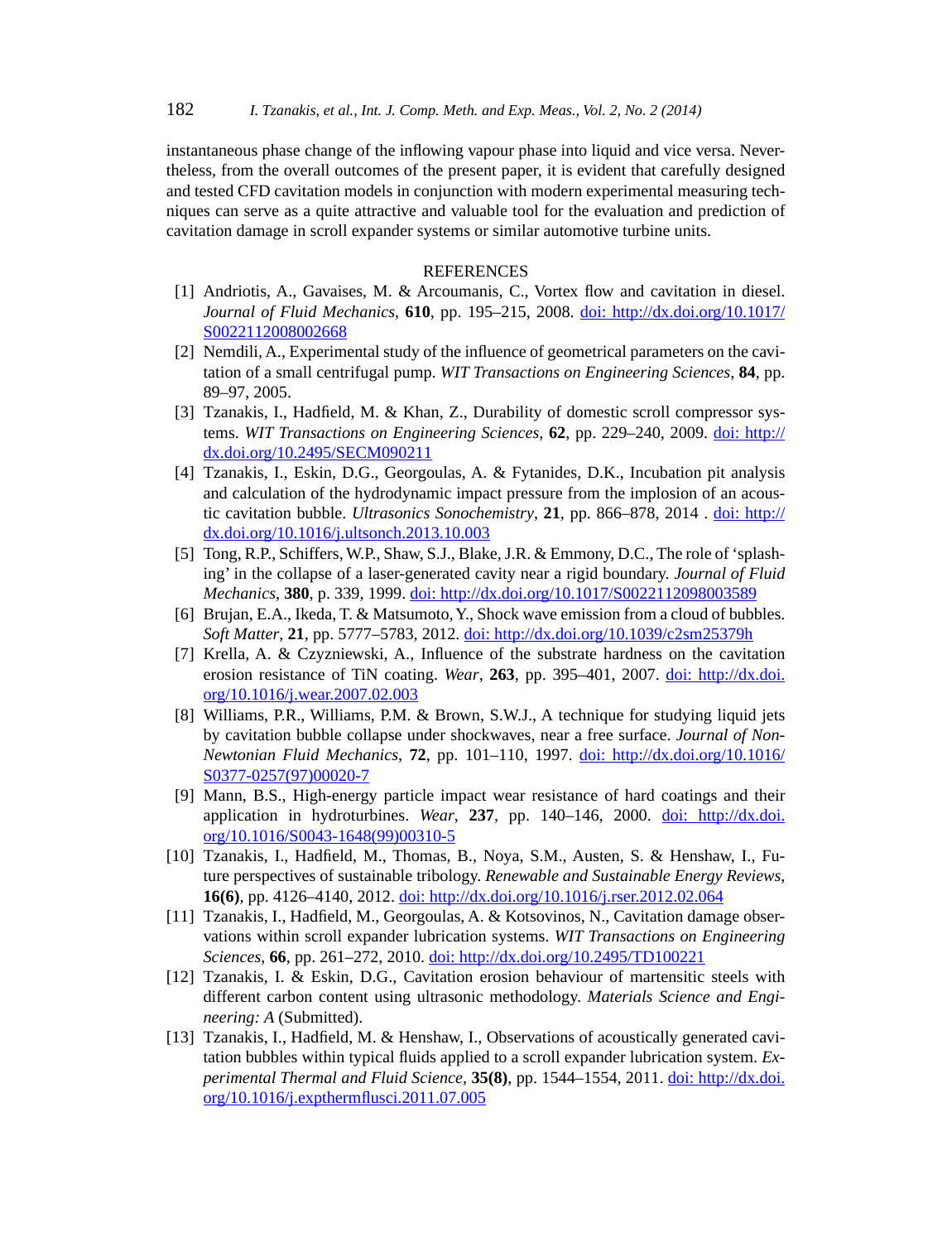instantaneous phase change of the inflowing vapour phase into liquid and vice versa. Nevertheless, from the overall outcomes of the present paper, it is evident that carefully designed and tested CFD cavitation models in conjunction with modern experimental measuring techniques can serve as a quite attractive and valuable tool for the evaluation and prediction of cavitation damage in scroll expander systems or similar automotive turbine units.

# REFERENCES

- [1] Andriotis, A., Gavaises, M. & Arcoumanis, C., Vortex flow and cavitation in diesel. *Journal of Fluid Mechanics*, **610**, pp. 195–215, 2008. doi: http://dx.doi.org/10.1017/ S0022112008002668
- [2] Nemdili, A., Experimental study of the influence of geometrical parameters on the cavitation of a small centrifugal pump. *WIT Transactions on Engineering Sciences*, **84**, pp. 89–97, 2005.
- [3] Tzanakis, I., Hadfield, M. & Khan, Z., Durability of domestic scroll compressor systems. *WIT Transactions on Engineering Sciences*, **62**, pp. 229–240, 2009. doi: http:// dx.doi.org/10.2495/SECM090211
- [4] Tzanakis, I., Eskin, D.G., Georgoulas, A. & Fytanides, D.K., Incubation pit analysis and calculation of the hydrodynamic impact pressure from the implosion of an acoustic cavitation bubble. *Ultrasonics Sonochemistry*, **21**, pp. 866–878, 2014 . doi: http:// dx.doi.org/10.1016/j.ultsonch.2013.10.003
- [5] Tong, R.P., Schiffers, W.P., Shaw, S.J., Blake, J.R. & Emmony, D.C., The role of 'splashing' in the collapse of a laser-generated cavity near a rigid boundary. *Journal of Fluid Mechanics*, **380**, p. 339, 1999. doi: http://dx.doi.org/10.1017/S0022112098003589
- [6] Brujan, E.A., Ikeda, T. & Matsumoto, Y., Shock wave emission from a cloud of bubbles. *Soft Matter*, **21**, pp. 5777–5783, 2012. doi: http://dx.doi.org/10.1039/c2sm25379h
- [7] Krella, A. & Czyzniewski, A., Influence of the substrate hardness on the cavitation erosion resistance of TiN coating. *Wear*, **263**, pp. 395–401, 2007. doi: http://dx.doi. org/10.1016/j.wear.2007.02.003
- [8] Williams, P.R., Williams, P.M. & Brown, S.W.J., A technique for studying liquid jets by cavitation bubble collapse under shockwaves, near a free surface. *Journal of Non-Newtonian Fluid Mechanics*, **72**, pp. 101–110, 1997. doi: http://dx.doi.org/10.1016/ S0377-0257(97)00020-7
- [9] Mann, B.S., High-energy particle impact wear resistance of hard coatings and their application in hydroturbines. *Wear*, **237**, pp. 140–146, 2000. doi: http://dx.doi. org/10.1016/S0043-1648(99)00310-5
- [10] Tzanakis, I., Hadfield, M., Thomas, B., Noya, S.M., Austen, S. & Henshaw, I., Future perspectives of sustainable tribology. *Renewable and Sustainable Energy Reviews*, **16(6)**, pp. 4126–4140, 2012. doi: http://dx.doi.org/10.1016/j.rser.2012.02.064
- [11] Tzanakis, I., Hadfield, M., Georgoulas, A. & Kotsovinos, N., Cavitation damage observations within scroll expander lubrication systems. *WIT Transactions on Engineering Sciences*, **66**, pp. 261–272, 2010. doi: http://dx.doi.org/10.2495/TD100221
- [12] Tzanakis, I. & Eskin, D.G., Cavitation erosion behaviour of martensitic steels with different carbon content using ultrasonic methodology. *Materials Science and Engineering: A* (Submitted).
- [13] Tzanakis, I., Hadfield, M. & Henshaw, I., Observations of acoustically generated cavitation bubbles within typical fluids applied to a scroll expander lubrication system. *Experimental Thermal and Fluid Science*, **35(8)**, pp. 1544–1554, 2011. doi: http://dx.doi. org/10.1016/j.expthermflusci.2011.07.005